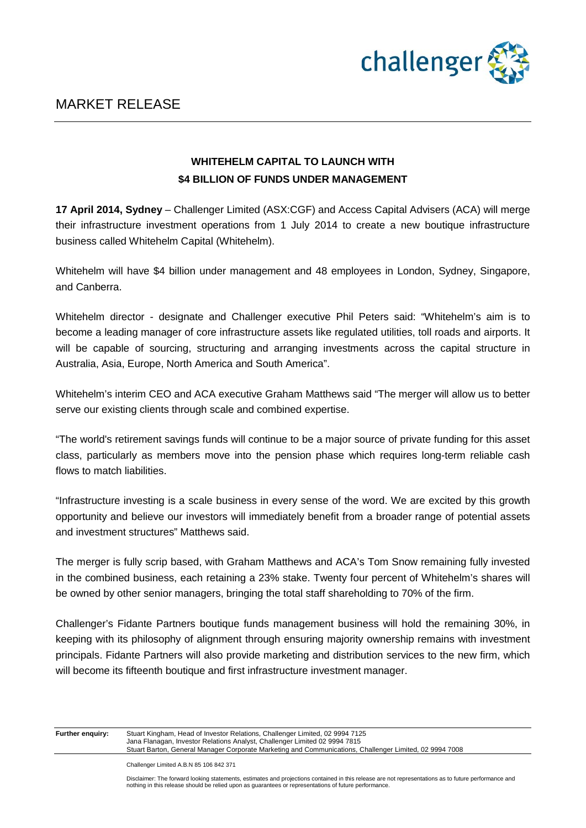

## **WHITEHELM CAPITAL TO LAUNCH WITH \$4 BILLION OF FUNDS UNDER MANAGEMENT**

**17 April 2014, Sydney** – Challenger Limited (ASX:CGF) and Access Capital Advisers (ACA) will merge their infrastructure investment operations from 1 July 2014 to create a new boutique infrastructure business called Whitehelm Capital (Whitehelm).

Whitehelm will have \$4 billion under management and 48 employees in London, Sydney, Singapore, and Canberra.

Whitehelm director - designate and Challenger executive Phil Peters said: "Whitehelm's aim is to become a leading manager of core infrastructure assets like regulated utilities, toll roads and airports. It will be capable of sourcing, structuring and arranging investments across the capital structure in Australia, Asia, Europe, North America and South America".

Whitehelm's interim CEO and ACA executive Graham Matthews said "The merger will allow us to better serve our existing clients through scale and combined expertise.

"The world's retirement savings funds will continue to be a major source of private funding for this asset class, particularly as members move into the pension phase which requires long-term reliable cash flows to match liabilities.

"Infrastructure investing is a scale business in every sense of the word. We are excited by this growth opportunity and believe our investors will immediately benefit from a broader range of potential assets and investment structures" Matthews said.

The merger is fully scrip based, with Graham Matthews and ACA's Tom Snow remaining fully invested in the combined business, each retaining a 23% stake. Twenty four percent of Whitehelm's shares will be owned by other senior managers, bringing the total staff shareholding to 70% of the firm.

Challenger's Fidante Partners boutique funds management business will hold the remaining 30%, in keeping with its philosophy of alignment through ensuring majority ownership remains with investment principals. Fidante Partners will also provide marketing and distribution services to the new firm, which will become its fifteenth boutique and first infrastructure investment manager.

| Further enquiry: | <b>Stuart Kingh</b> |
|------------------|---------------------|
|                  | lana Flanag         |

am, Head of Investor Relations, Challenger Limited, 02 9994 7125 1999 Janas Flanagan, Investor Relations Analyst, Challenger Limited 02 9994 Stuart Barton, General Manager Corporate Marketing and Communications, Challenger Limited, 02 9994 7008

Challenger Limited A.B.N 85 106 842 371

Disclaimer: The forward looking statements, estimates and projections contained in this release are not representations as to future performance and nothing in this release should be relied upon as guarantees or representations of future performance.